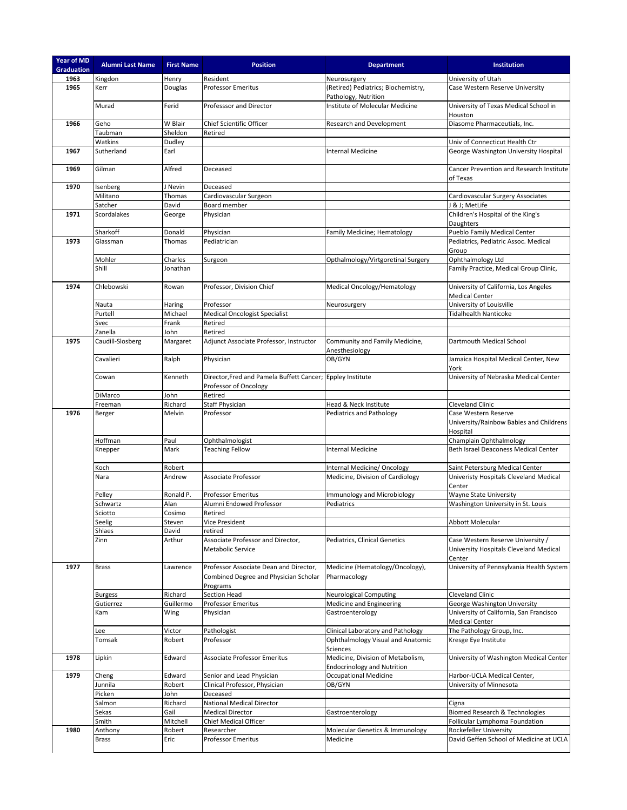| Year of MD<br><b>Graduation</b> | <b>Alumni Last Name</b> | <b>First Name</b> | <b>Position</b>                                                                 | <b>Department</b>                                                       | Institution                                                                           |
|---------------------------------|-------------------------|-------------------|---------------------------------------------------------------------------------|-------------------------------------------------------------------------|---------------------------------------------------------------------------------------|
| 1963                            | Kingdon                 | Henry             | Resident                                                                        | Neurosurgery                                                            | University of Utah                                                                    |
| 1965                            | Kerr                    | Douglas           | <b>Professor Emeritus</b>                                                       | (Retired) Pediatrics; Biochemistry,<br>Pathology, Nutrition             | Case Western Reserve University                                                       |
|                                 | Murad                   | Ferid             | Professsor and Director                                                         | Institute of Molecular Medicine                                         | University of Texas Medical School in<br>Houston                                      |
| 1966                            | Geho                    | W Blair           | Chief Scientific Officer                                                        | Research and Development                                                | Diasome Pharmaceutials, Inc.                                                          |
|                                 | Taubman                 | Sheldon           | Retired                                                                         |                                                                         |                                                                                       |
|                                 | Watkins                 | Dudley            |                                                                                 |                                                                         | Univ of Connecticut Health Ctr                                                        |
| 1967                            | Sutherland              | Earl              |                                                                                 | <b>Internal Medicine</b>                                                | George Washington University Hospital                                                 |
| 1969                            | Gilman                  | Alfred            | Deceased                                                                        |                                                                         | Cancer Prevention and Research Institute                                              |
|                                 |                         |                   |                                                                                 |                                                                         | of Texas                                                                              |
| 1970                            | Isenberg                | J Nevin           | Deceased                                                                        |                                                                         |                                                                                       |
|                                 | Militano                | Thomas            | Cardiovascular Surgeon                                                          |                                                                         | Cardiovascular Surgery Associates                                                     |
|                                 | Satcher                 | David             | Board member                                                                    |                                                                         | J & J; MetLife                                                                        |
| 1971                            | Scordalakes             | George            | Physician                                                                       |                                                                         | Children's Hospital of the King's<br>Daughters                                        |
|                                 | Sharkoff                | Donald            | Physician                                                                       | Family Medicine; Hematology                                             | Pueblo Family Medical Center                                                          |
| 1973                            | Glassman                | Thomas            | Pediatrician                                                                    |                                                                         | Pediatrics, Pediatric Assoc. Medical<br>Group                                         |
|                                 | Mohler                  | Charles           | Surgeon                                                                         | Opthalmology/Virtgoretinal Surgery                                      | Ophthalmology Ltd                                                                     |
|                                 | Shill                   | Jonathan          |                                                                                 |                                                                         | Family Practice, Medical Group Clinic,                                                |
| 1974                            | Chlebowski              | Rowan             | Professor, Division Chief                                                       | Medical Oncology/Hematology                                             | University of California, Los Angeles<br><b>Medical Center</b>                        |
|                                 | Nauta                   | Haring            | Professor                                                                       | Neurosurgery                                                            | University of Louisville                                                              |
|                                 | Purtell                 | Michael           | <b>Medical Oncologist Specialist</b>                                            |                                                                         | <b>Tidalhealth Nanticoke</b>                                                          |
|                                 | Svec                    | Frank             | Retired                                                                         |                                                                         |                                                                                       |
|                                 | Zanella                 | John              | Retired                                                                         |                                                                         |                                                                                       |
| 1975                            | Caudill-Slosberg        | Margaret          | Adjunct Associate Professor, Instructor                                         | Community and Family Medicine,<br>Anesthesiology                        | Dartmouth Medical School                                                              |
|                                 | Cavalieri               | Ralph             | Physician                                                                       | OB/GYN                                                                  | Jamaica Hospital Medical Center, New<br>York                                          |
|                                 | Cowan                   | Kenneth           | Director, Fred and Pamela Buffett Cancer;<br>Professor of Oncology              | <b>Eppley Institute</b>                                                 | University of Nebraska Medical Center                                                 |
|                                 | DiMarco                 | John              | Retired                                                                         |                                                                         |                                                                                       |
|                                 | Freeman                 | Richard           | Staff Physician                                                                 | Head & Neck Institute                                                   | <b>Cleveland Clinic</b>                                                               |
| 1976                            | Berger                  | Melvin            | Professor                                                                       | Pediatrics and Pathology                                                | Case Western Reserve<br>University/Rainbow Babies and Childrens<br>Hospital           |
|                                 | Hoffman                 | Paul              | Ophthalmologist                                                                 |                                                                         | Champlain Ophthalmology                                                               |
|                                 | Knepper                 | Mark              | <b>Teaching Fellow</b>                                                          | <b>Internal Medicine</b>                                                | Beth Israel Deaconess Medical Center                                                  |
|                                 | Koch                    | Robert            |                                                                                 | Internal Medicine/ Oncology                                             | Saint Petersburg Medical Center                                                       |
|                                 | Nara                    | Andrew            | Associate Professor                                                             | Medicine, Division of Cardiology                                        | Univeristy Hospitals Cleveland Medical<br>Center                                      |
|                                 | Pelley                  | Ronald P.         | <b>Professor Emeritus</b>                                                       | Immunology and Microbiology                                             | Wayne State University                                                                |
|                                 | Schwartz                | Alan              | Alumni Endowed Professor                                                        | Pediatrics                                                              | Washington University in St. Louis                                                    |
|                                 | Sciotto                 | Cosimo            | Retired                                                                         |                                                                         |                                                                                       |
|                                 | Seelig                  | Steven            | Vice President                                                                  |                                                                         | Abbott Molecular                                                                      |
|                                 | Shlaes                  | David             | retired                                                                         |                                                                         |                                                                                       |
|                                 | Zinn                    | Arthur            | Associate Professor and Director,<br>Metabolic Service                          | Pediatrics, Clinical Genetics                                           | Case Western Reserve University /<br>University Hospitals Cleveland Medical<br>Center |
| 1977                            | <b>Brass</b>            | Lawrence          | Professor Associate Dean and Director,<br>Combined Degree and Physician Scholar | Medicine (Hematology/Oncology),<br>Pharmacology                         | University of Pennsylvania Health System                                              |
|                                 |                         |                   | Programs                                                                        |                                                                         |                                                                                       |
|                                 | Burgess                 | Richard           | Section Head                                                                    | <b>Neurological Computing</b>                                           | <b>Cleveland Clinic</b>                                                               |
|                                 | Gutierrez<br>Kam        | Guillermo<br>Wing | Professor Emeritus<br>Physician                                                 | Medicine and Engineering<br>Gastroenterology                            | George Washington University<br>University of California, San Francisco               |
|                                 |                         |                   |                                                                                 |                                                                         | Medical Center                                                                        |
|                                 | Lee                     | Victor            | Pathologist                                                                     | Clinical Laboratory and Pathology                                       | The Pathology Group, Inc.                                                             |
|                                 | Tomsak                  | Robert            | Professor                                                                       | Ophthalmology Visual and Anatomic<br>Sciences                           | Kresge Eye Institute                                                                  |
| 1978                            | Lipkin                  | Edward            | Associate Professor Emeritus                                                    | Medicine, Division of Metabolism,<br><b>Endocrinology and Nutrition</b> | University of Washington Medical Center                                               |
| 1979                            | Cheng                   | Edward            | Senior and Lead Physician                                                       | <b>Occupational Medicine</b>                                            | Harbor-UCLA Medical Center,                                                           |
|                                 | Junnila                 | Robert            | Clinical Professor, Physician                                                   | OB/GYN                                                                  | University of Minnesota                                                               |
|                                 | Picken                  | John              | Deceased                                                                        |                                                                         |                                                                                       |
|                                 | Salmon                  | Richard           | National Medical Director                                                       |                                                                         | Cigna                                                                                 |
|                                 | Sekas                   | Gail              | <b>Medical Director</b>                                                         | Gastroenterology                                                        | <b>Biomed Research &amp; Technologies</b>                                             |
|                                 | Smith                   | Mitchell          | Chief Medical Officer                                                           |                                                                         | Follicular Lymphoma Foundation                                                        |
| 1980                            | Anthony                 | Robert            | Researcher                                                                      | Molecular Genetics & Immunology                                         | Rockefeller University                                                                |
|                                 | <b>Brass</b>            | Eric              | Professor Emeritus                                                              | Medicine                                                                | David Geffen School of Medicine at UCLA                                               |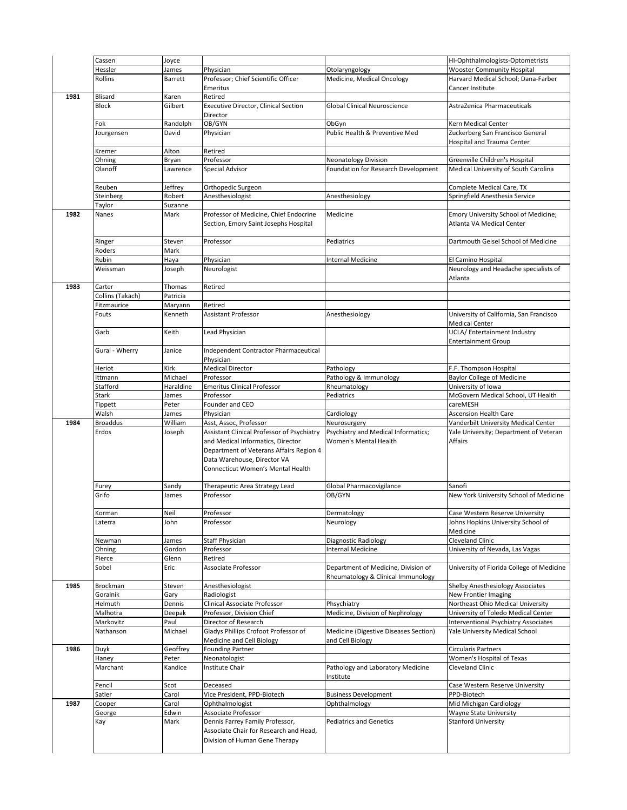| 1987 | Pencil<br>Satler<br>Cooper<br>George<br>Kay | Scot<br>Carol<br>Carol<br>Edwin<br>Mark | Deceased<br>Vice President, PPD-Biotech<br>Ophthalmologist<br>Associate Professor<br>Dennis Farrey Family Professor,<br>Associate Chair for Research and Head,<br>Division of Human Gene Therapy | <b>Business Development</b><br>Ophthalmology<br><b>Pediatrics and Genetics</b> | PPD-Biotech<br>Mid Michigan Cardiology<br>Wayne State University<br><b>Stanford University</b> |
|------|---------------------------------------------|-----------------------------------------|--------------------------------------------------------------------------------------------------------------------------------------------------------------------------------------------------|--------------------------------------------------------------------------------|------------------------------------------------------------------------------------------------|
|      |                                             |                                         |                                                                                                                                                                                                  |                                                                                |                                                                                                |
|      |                                             |                                         |                                                                                                                                                                                                  |                                                                                |                                                                                                |
|      |                                             |                                         |                                                                                                                                                                                                  |                                                                                |                                                                                                |
|      |                                             |                                         |                                                                                                                                                                                                  |                                                                                |                                                                                                |
|      |                                             |                                         |                                                                                                                                                                                                  |                                                                                |                                                                                                |
|      |                                             |                                         |                                                                                                                                                                                                  |                                                                                | Case Western Reserve University                                                                |
|      | Marchant                                    | Kandice                                 | Institute Chair                                                                                                                                                                                  | Pathology and Laboratory Medicine<br>Institute                                 | Cleveland Clinic                                                                               |
|      | Haney                                       | Peter                                   | Neonatologist                                                                                                                                                                                    |                                                                                | Women's Hospital of Texas                                                                      |
| 1986 | Duyk                                        | Geoffrey                                | <b>Founding Partner</b>                                                                                                                                                                          |                                                                                | <b>Circularis Partners</b>                                                                     |
|      |                                             |                                         | Medicine and Cell Biology                                                                                                                                                                        | and Cell Biology                                                               |                                                                                                |
|      | Nathanson                                   | Michael                                 | Gladys Phillips Crofoot Professor of                                                                                                                                                             | Medicine (Digestive Diseases Section)                                          | Yale University Medical School                                                                 |
|      | Malhotra<br>Markovitz                       | Deepak<br>Paul                          | Director of Research                                                                                                                                                                             |                                                                                | Interventional Psychiatry Associates                                                           |
|      | Helmuth                                     | Dennis                                  | Professor, Division Chief                                                                                                                                                                        | Medicine, Division of Nephrology                                               | University of Toledo Medical Center                                                            |
|      | Goralnik                                    | Gary                                    | Clinical Associate Professor                                                                                                                                                                     | Phsychiatry                                                                    | New Frontier Imaging<br>Northeast Ohio Medical University                                      |
| 1985 | Brockman                                    | Steven                                  | Anesthesiologist<br>Radiologist                                                                                                                                                                  |                                                                                | Shelby Anesthesiology Associates                                                               |
|      |                                             |                                         |                                                                                                                                                                                                  | Rheumatology & Clinical Immunology                                             |                                                                                                |
|      | Sobel                                       | Eric                                    | Associate Professor                                                                                                                                                                              | Department of Medicine, Division of                                            | University of Florida College of Medicine                                                      |
|      | Pierce                                      | Glenn                                   | Retired                                                                                                                                                                                          |                                                                                |                                                                                                |
|      | Ohning                                      | Gordon                                  | Professor                                                                                                                                                                                        | <b>Internal Medicine</b>                                                       | University of Nevada, Las Vagas                                                                |
|      | Newman                                      | James                                   | <b>Staff Physician</b>                                                                                                                                                                           | <b>Diagnostic Radiology</b>                                                    | Cleveland Clinic                                                                               |
|      |                                             |                                         |                                                                                                                                                                                                  |                                                                                | Medicine                                                                                       |
|      | Korman<br>Laterra                           | John                                    | Professor                                                                                                                                                                                        | Dermatology<br>Neurology                                                       | Case Western Reserve University<br>Johns Hopkins University School of                          |
|      |                                             | Neil                                    | Professor                                                                                                                                                                                        |                                                                                |                                                                                                |
|      | Grifo                                       | James                                   | Professor                                                                                                                                                                                        | OB/GYN                                                                         | New York University School of Medicine                                                         |
|      | Furey                                       | Sandy                                   | Therapeutic Area Strategy Lead                                                                                                                                                                   | Global Pharmacovigilance                                                       | Sanofi                                                                                         |
|      |                                             |                                         | Connecticut Women's Mental Health                                                                                                                                                                |                                                                                |                                                                                                |
|      |                                             |                                         | Department of Veterans Affairs Region 4<br>Data Warehouse, Director VA                                                                                                                           |                                                                                |                                                                                                |
|      |                                             |                                         | and Medical Informatics, Director                                                                                                                                                                | Women's Mental Health                                                          | Affairs                                                                                        |
|      | Erdos                                       | Joseph                                  | Assistant Clinical Professor of Psychiatry                                                                                                                                                       | Psychiatry and Medical Informatics;                                            | Yale University; Department of Veteran                                                         |
| 1984 | <b>Broaddus</b>                             | William                                 | Asst, Assoc, Professor                                                                                                                                                                           | Neurosurgery                                                                   | Vanderbilt University Medical Center                                                           |
|      | Walsh                                       | James                                   | Physician                                                                                                                                                                                        | Cardiology                                                                     | <b>Ascension Health Care</b>                                                                   |
|      | Tippett                                     | James<br>Peter                          | Founder and CEO                                                                                                                                                                                  |                                                                                | careMESH                                                                                       |
|      | Stark                                       | Haraldine                               | <b>Emeritus Clinical Professor</b><br>Professor                                                                                                                                                  | Rheumatology<br>Pediatrics                                                     | University of Iowa<br>McGovern Medical School, UT Health                                       |
|      | Stafford                                    |                                         |                                                                                                                                                                                                  |                                                                                |                                                                                                |
|      | Ittmann                                     | Michael                                 | Professor                                                                                                                                                                                        | Pathology & Immunology                                                         | <b>Baylor College of Medicine</b>                                                              |
|      | Heriot                                      | Kirk                                    | Physician<br><b>Medical Director</b>                                                                                                                                                             | Pathology                                                                      | F.F. Thompson Hospital                                                                         |
|      | Gural - Wherry                              | Janice                                  | Independent Contractor Pharmaceutical                                                                                                                                                            |                                                                                |                                                                                                |
|      |                                             | Keith                                   | Lead Physician                                                                                                                                                                                   |                                                                                | <b>Entertainment Group</b>                                                                     |
|      | Garb                                        |                                         |                                                                                                                                                                                                  |                                                                                | <b>Medical Center</b><br>UCLA/ Entertainment Industry                                          |
|      | Fouts                                       | Kenneth                                 | <b>Assistant Professor</b>                                                                                                                                                                       | Anesthesiology                                                                 | University of California, San Francisco                                                        |
|      | Fitzmaurice                                 | Maryann                                 | Retired                                                                                                                                                                                          |                                                                                |                                                                                                |
|      | Collins (Takach)                            | Patricia                                |                                                                                                                                                                                                  |                                                                                |                                                                                                |
| 1983 | Carter                                      | Thomas                                  | Retired                                                                                                                                                                                          |                                                                                |                                                                                                |
|      | Weissman                                    | Joseph                                  | Neurologist                                                                                                                                                                                      |                                                                                | Neurology and Headache specialists of<br>Atlanta                                               |
|      | Rubin                                       | Haya                                    | Physician                                                                                                                                                                                        | <b>Internal Medicine</b>                                                       | El Camino Hospital                                                                             |
|      | Roders                                      | Mark                                    |                                                                                                                                                                                                  |                                                                                |                                                                                                |
|      | Ringer                                      | Steven                                  | Professor                                                                                                                                                                                        | Pediatrics                                                                     | Dartmouth Geisel School of Medicine                                                            |
|      |                                             |                                         |                                                                                                                                                                                                  |                                                                                |                                                                                                |
| 1982 | Nanes                                       | Mark                                    | Professor of Medicine, Chief Endocrine<br>Section, Emory Saint Josephs Hospital                                                                                                                  | Medicine                                                                       | Emory University School of Medicine;<br>Atlanta VA Medical Center                              |
|      | Taylor                                      | Suzanne                                 |                                                                                                                                                                                                  |                                                                                |                                                                                                |
|      | Steinberg                                   | Robert                                  | Anesthesiologist                                                                                                                                                                                 | Anesthesiology                                                                 | Springfield Anesthesia Service                                                                 |
|      | Reuben                                      | Jeffrey                                 | Orthopedic Surgeon                                                                                                                                                                               |                                                                                | Complete Medical Care, TX                                                                      |
|      |                                             |                                         |                                                                                                                                                                                                  |                                                                                |                                                                                                |
|      | Olanoff                                     | Lawrence                                | Special Advisor                                                                                                                                                                                  | Foundation for Research Development                                            | Medical University of South Carolina                                                           |
|      | Ohning                                      | Bryan                                   | Professor                                                                                                                                                                                        | <b>Neonatology Division</b>                                                    | Greenville Children's Hospital                                                                 |
|      | Kremer                                      | Alton                                   | Retired                                                                                                                                                                                          |                                                                                | Hospital and Trauma Center                                                                     |
|      | Jourgensen                                  | David                                   | Physician                                                                                                                                                                                        | Public Health & Preventive Med                                                 | Zuckerberg San Francisco General                                                               |
|      | Fok                                         | Randolph                                | OB/GYN                                                                                                                                                                                           | ObGyn                                                                          | Kern Medical Center                                                                            |
|      |                                             |                                         | Director                                                                                                                                                                                         |                                                                                |                                                                                                |
|      | <b>Block</b>                                | Gilbert                                 | Executive Director, Clinical Section                                                                                                                                                             | Global Clinical Neuroscience                                                   | AstraZenica Pharmaceuticals                                                                    |
| 1981 | Blisard                                     | Karen                                   | Retired                                                                                                                                                                                          |                                                                                |                                                                                                |
|      |                                             |                                         | Emeritus                                                                                                                                                                                         |                                                                                | Cancer Institute                                                                               |
|      | <b>Rollins</b>                              | Barrett                                 | Professor; Chief Scientific Officer                                                                                                                                                              | Medicine, Medical Oncology                                                     | Harvard Medical School; Dana-Farber                                                            |
|      | Cassen<br>Hessler                           | Joyce<br>James                          | Physician                                                                                                                                                                                        | Otolaryngology                                                                 | HI-Ophthalmologists-Optometrists<br><b>Wooster Community Hospital</b>                          |
|      |                                             |                                         |                                                                                                                                                                                                  |                                                                                |                                                                                                |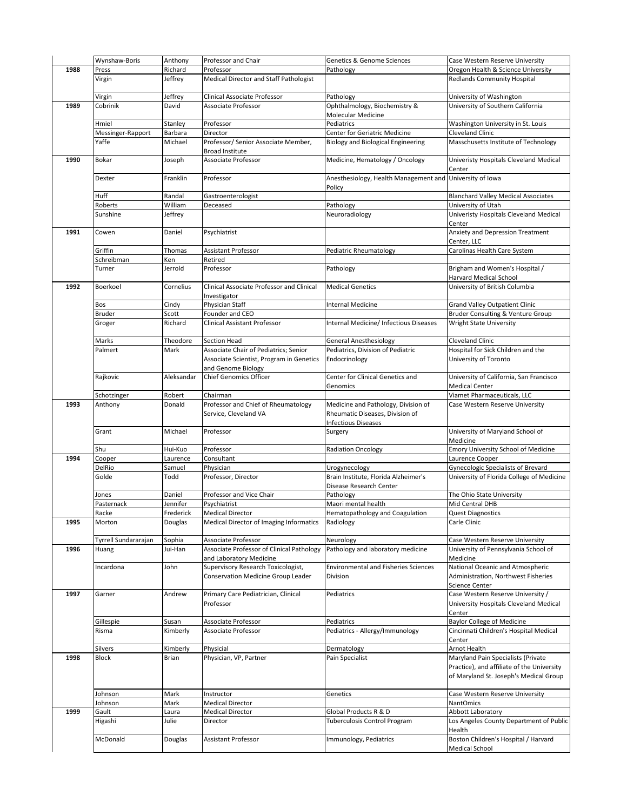|      | Wynshaw-Boris        | Anthony    | Professor and Chair                       | Genetics & Genome Sciences                  | Case Western Reserve University                               |
|------|----------------------|------------|-------------------------------------------|---------------------------------------------|---------------------------------------------------------------|
| 1988 | Press                | Richard    | Professor                                 | Pathology                                   | Oregon Health & Science University                            |
|      | Virgin               | Jeffrey    | Medical Director and Staff Pathologist    |                                             | <b>Redlands Community Hospital</b>                            |
|      |                      |            |                                           |                                             |                                                               |
|      |                      |            |                                           |                                             |                                                               |
|      | Virgin               | Jeffrey    | Clinical Associate Professor              | Pathology                                   | University of Washington                                      |
| 1989 | Cobrinik             | David      | Associate Professor                       | Ophthalmology, Biochemistry &               | University of Southern California                             |
|      |                      |            |                                           | Molecular Medicine                          |                                                               |
|      | Hmiel                | Stanley    | Professor                                 | Pediatrics                                  | Washington University in St. Louis                            |
|      | Messinger-Rapport    | Barbara    | Director                                  | Center for Geriatric Medicine               | <b>Cleveland Clinic</b>                                       |
|      | Yaffe                | Michael    | Professor/ Senior Associate Member,       | <b>Biology and Biological Engineering</b>   | Masschusetts Institute of Technology                          |
|      |                      |            | <b>Broad Institute</b>                    |                                             |                                                               |
| 1990 | Bokar                | Joseph     | Associate Professor                       | Medicine, Hematology / Oncology             | Univeristy Hospitals Cleveland Medical                        |
|      |                      |            |                                           |                                             | Center                                                        |
|      | Dexter               | Franklin   | Professor                                 | Anesthesiology, Health Management and       | University of Iowa                                            |
|      |                      |            |                                           | Policy                                      |                                                               |
|      | Huff                 | Randal     | Gastroenterologist                        |                                             | <b>Blanchard Valley Medical Associates</b>                    |
|      | Roberts              | William    | Deceased                                  | Pathology                                   | University of Utah                                            |
|      | Sunshine             | Jeffrey    |                                           | Neuroradiology                              | Univeristy Hospitals Cleveland Medical                        |
|      |                      |            |                                           |                                             | Center                                                        |
| 1991 | Cowen                | Daniel     | Psychiatrist                              |                                             | Anxiety and Depression Treatment                              |
|      |                      |            |                                           |                                             | Center, LLC                                                   |
|      | Griffin              | Thomas     | Assistant Professor                       | Pediatric Rheumatology                      | Carolinas Health Care System                                  |
|      | Schreibman           | Ken        | Retired                                   |                                             |                                                               |
|      | Turner               | Jerrold    | Professor                                 | Pathology                                   | Brigham and Women's Hospital /                                |
|      |                      |            |                                           |                                             | Harvard Medical School                                        |
| 1992 | Boerkoel             |            | Clinical Associate Professor and Clinical | <b>Medical Genetics</b>                     |                                                               |
|      |                      | Cornelius  |                                           |                                             | University of British Columbia                                |
|      |                      |            | Investigator                              |                                             |                                                               |
|      | Bos                  | Cindy      | Physician Staff                           | <b>Internal Medicine</b>                    | Grand Valley Outpatient Clinic                                |
|      | Bruder               | Scott      | Founder and CEO                           |                                             | Bruder Consulting & Venture Group                             |
|      | Groger               | Richard    | <b>Clinical Assistant Professor</b>       | Internal Medicine/ Infectious Diseases      | Wright State University                                       |
|      |                      |            |                                           |                                             |                                                               |
|      | Marks                | Theodore   | Section Head                              | <b>General Anesthesiology</b>               | Cleveland Clinic                                              |
|      | Palmert              | Mark       | Associate Chair of Pediatrics; Senior     | Pediatrics, Division of Pediatric           | Hospital for Sick Children and the                            |
|      |                      |            | Associate Scientist, Program in Genetics  | Endocrinology                               | University of Toronto                                         |
|      |                      |            | and Genome Biology                        |                                             |                                                               |
|      | Rajkovic             | Aleksandar | <b>Chief Genomics Officer</b>             | Center for Clinical Genetics and            | University of California, San Francisco                       |
|      |                      |            |                                           | Genomics                                    | <b>Medical Center</b>                                         |
|      | Schotzinger          | Robert     | Chairman                                  |                                             | Viamet Pharmaceuticals, LLC                                   |
| 1993 | Anthony              | Donald     | Professor and Chief of Rheumatology       | Medicine and Pathology, Division of         | Case Western Reserve University                               |
|      |                      |            | Service, Cleveland VA                     | Rheumatic Diseases, Division of             |                                                               |
|      |                      |            |                                           | <b>Infectious Diseases</b>                  |                                                               |
|      | Grant                | Michael    | Professor                                 | Surgery                                     | University of Maryland School of                              |
|      |                      |            |                                           |                                             | Medicine                                                      |
|      | Shu                  | Hui-Kuo    | Professor                                 | <b>Radiation Oncology</b>                   | Emory University School of Medicine                           |
| 1994 | Cooper               | Laurence   | Consultant                                |                                             | Laurence Cooper                                               |
|      | DelRio               | Samuel     | Physician                                 | Urogynecology                               | Gynecologic Specialists of Brevard                            |
|      | Golde                | Todd       | Professor, Director                       | Brain Institute, Florida Alzheimer's        | University of Florida College of Medicine                     |
|      |                      |            |                                           | Disease Research Center                     |                                                               |
|      | lones                | Daniel     | Professor and Vice Chair                  | Pathology                                   | The Ohio State University                                     |
|      | Pasternack           | Jennifer   | Psychiatrist                              | Maori mental health                         | Mid Central DHB                                               |
|      |                      |            | <b>Medical Director</b>                   | Hematopathology and Coagulation             | <b>Quest Diagnostics</b>                                      |
|      | Racke                | Frederick  |                                           | Radiology                                   | Carle Clinic                                                  |
| 1995 | Morton               | Douglas    | Medical Director of Imaging Informatics   |                                             |                                                               |
|      |                      |            |                                           |                                             |                                                               |
|      | Tyrrell Sundararajan | Sophia     | Associate Professor                       | Neurology                                   | Case Western Reserve University                               |
| 1996 | Huang                | Jui-Han    | Associate Professor of Clinical Pathology | Pathology and laboratory medicine           | University of Pennsylvania School of                          |
|      |                      |            | and Laboratory Medicine                   |                                             | Medicine                                                      |
|      | Incardona            | John       | Supervisory Research Toxicologist,        | <b>Environmental and Fisheries Sciences</b> | National Oceanic and Atmospheric                              |
|      |                      |            | Conservation Medicine Group Leader        | Division                                    | Administration, Northwest Fisheries                           |
|      |                      |            |                                           |                                             | Science Center                                                |
| 1997 | Garner               | Andrew     | Primary Care Pediatrician, Clinical       | Pediatrics                                  | Case Western Reserve University /                             |
|      |                      |            | Professor                                 |                                             | University Hospitals Cleveland Medical                        |
|      |                      |            |                                           |                                             | Center                                                        |
|      | Gillespie            | Susan      | Associate Professor                       | Pediatrics                                  | <b>Baylor College of Medicine</b>                             |
|      | Risma                | Kimberly   | Associate Professor                       | Pediatrics - Allergy/Immunology             | Cincinnati Children's Hospital Medical                        |
|      |                      |            |                                           |                                             | Center                                                        |
|      | Silvers              | Kimberly   | Physicial                                 | Dermatology                                 | Arnot Health                                                  |
| 1998 | Block                | Brian      | Physician, VP, Partner                    | Pain Specialist                             | Maryland Pain Specialists (Private                            |
|      |                      |            |                                           |                                             | Practice), and affiliate of the University                    |
|      |                      |            |                                           |                                             | of Maryland St. Joseph's Medical Group                        |
|      |                      |            |                                           |                                             |                                                               |
|      | Johnson              | Mark       | Instructor                                | Genetics                                    | Case Western Reserve University                               |
|      | Iohnson              | Mark       | <b>Medical Director</b>                   |                                             | NantOmics                                                     |
| 1999 | Gault                | Laura      | <b>Medical Director</b>                   | Global Products R & D                       | Abbott Laboratory                                             |
|      | Higashi              | Julie      | Director                                  | <b>Tuberculosis Control Program</b>         | Los Angeles County Department of Public                       |
|      |                      |            |                                           |                                             |                                                               |
|      |                      |            |                                           |                                             |                                                               |
|      |                      |            |                                           |                                             | Health                                                        |
|      | McDonald             | Douglas    | Assistant Professor                       | Immunology, Pediatrics                      | Boston Children's Hospital / Harvard<br><b>Medical School</b> |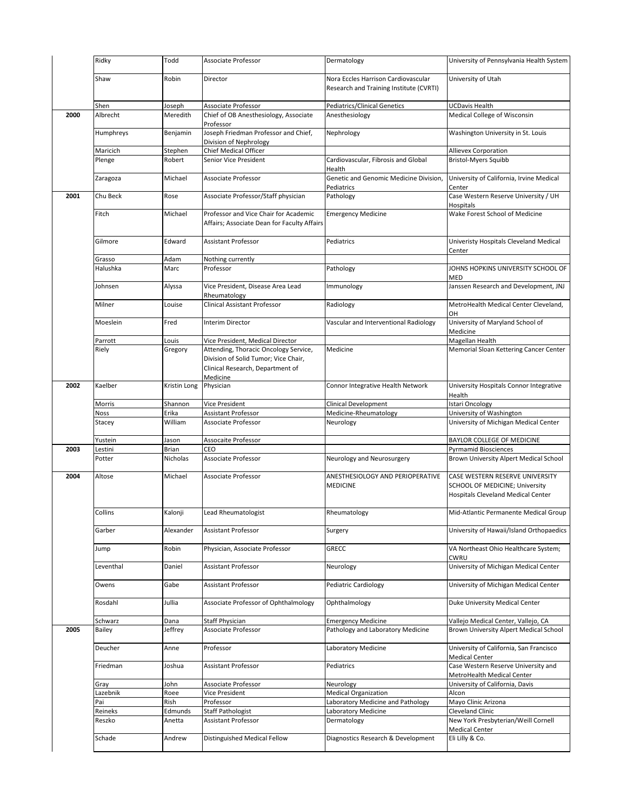|      | Ridky             | Todd              | Associate Professor                                                                                                           | Dermatology                                                                    | University of Pennsylvania Health System                                                                |
|------|-------------------|-------------------|-------------------------------------------------------------------------------------------------------------------------------|--------------------------------------------------------------------------------|---------------------------------------------------------------------------------------------------------|
|      | Shaw              | Robin             | Director                                                                                                                      | Nora Eccles Harrison Cardiovascular<br>Research and Training Institute (CVRTI) | University of Utah                                                                                      |
|      | Shen              | Joseph            | Associate Professor                                                                                                           | <b>Pediatrics/Clinical Genetics</b>                                            | UCDavis Health                                                                                          |
| 2000 | Albrecht          | Meredith          | Chief of OB Anesthesiology, Associate<br>Professor                                                                            | Anesthesiology                                                                 | Medical College of Wisconsin                                                                            |
|      | Humphreys         | Benjamin          | Joseph Friedman Professor and Chief,<br>Division of Nephrology                                                                | Nephrology                                                                     | Washington University in St. Louis                                                                      |
|      | Maricich          | Stephen           | Chief Medical Officer                                                                                                         |                                                                                | Allievex Corporation                                                                                    |
|      | Plenge            | Robert            | Senior Vice President                                                                                                         | Cardiovascular, Fibrosis and Global<br>Health                                  | <b>Bristol-Myers Squibb</b>                                                                             |
|      | Zaragoza          | Michael           | Associate Professor                                                                                                           | Genetic and Genomic Medicine Division,<br>Pediatrics                           | University of California, Irvine Medical<br>Center                                                      |
| 2001 | Chu Beck          | Rose              | Associate Professor/Staff physician                                                                                           | Pathology                                                                      | Case Western Reserve University / UH<br>Hospitals                                                       |
|      | Fitch             | Michael           | Professor and Vice Chair for Academic<br>Affairs; Associate Dean for Faculty Affairs                                          | <b>Emergency Medicine</b>                                                      | Wake Forest School of Medicine                                                                          |
|      | Gilmore           | Edward            | <b>Assistant Professor</b>                                                                                                    | Pediatrics                                                                     | Univeristy Hospitals Cleveland Medical<br>Center                                                        |
|      | Grasso            | Adam              | Nothing currently                                                                                                             |                                                                                |                                                                                                         |
|      | Halushka          | Marc              | Professor                                                                                                                     | Pathology                                                                      | JOHNS HOPKINS UNIVERSITY SCHOOL OF<br><b>MED</b>                                                        |
|      | Johnsen           | Alyssa            | Vice President, Disease Area Lead<br>Rheumatology                                                                             | Immunology                                                                     | Janssen Research and Development, JNJ                                                                   |
|      | Milner            | Louise            | Clinical Assistant Professor                                                                                                  | Radiology                                                                      | MetroHealth Medical Center Cleveland,<br>OH                                                             |
|      | Moeslein          | Fred              | <b>Interim Director</b>                                                                                                       | Vascular and Interventional Radiology                                          | University of Maryland School of<br>Medicine                                                            |
|      | Parrott           | Louis             | Vice President, Medical Director                                                                                              |                                                                                | Magellan Health                                                                                         |
|      | Riely             | Gregory           | Attending, Thoracic Oncology Service,<br>Division of Solid Tumor; Vice Chair,<br>Clinical Research, Department of<br>Medicine | Medicine                                                                       | Memorial Sloan Kettering Cancer Center                                                                  |
| 2002 | Kaelber           | Kristin Long      | Physician                                                                                                                     | Connor Integrative Health Network                                              | University Hospitals Connor Integrative<br>Health                                                       |
|      | Morris            | Shannon           | Vice President                                                                                                                | Clinical Development                                                           | <b>Istari Oncology</b>                                                                                  |
|      | Noss              | Erika             | Assistant Professor                                                                                                           | Medicine-Rheumatology                                                          | University of Washington                                                                                |
|      | Stacey            | William           | Associate Professor                                                                                                           | Neurology                                                                      | University of Michigan Medical Center                                                                   |
|      | Yustein           | Jason             | Assocaite Professor                                                                                                           |                                                                                | BAYLOR COLLEGE OF MEDICINE                                                                              |
| 2003 | Lestini<br>Potter | Brian<br>Nicholas | CEO<br>Associate Professor                                                                                                    | Neurology and Neurosurgery                                                     | <b>Pyrmamid Biosciences</b><br>Brown University Alpert Medical School                                   |
| 2004 | Altose            | Michael           | Associate Professor                                                                                                           | ANESTHESIOLOGY AND PERIOPERATIVE<br><b>MEDICINE</b>                            | CASE WESTERN RESERVE UNIVERSITY<br>SCHOOL OF MEDICINE; University<br>Hospitals Cleveland Medical Center |
|      | Collins           | Kalonji           | Lead Rheumatologist                                                                                                           | Rheumatology                                                                   | Mid-Atlantic Permanente Medical Group                                                                   |
|      | Garber            | Alexander         | <b>Assistant Professor</b>                                                                                                    | Surgery                                                                        | University of Hawaii/Island Orthopaedics                                                                |
|      | Jump              | Robin             | Physician, Associate Professor                                                                                                | GRECC                                                                          | VA Northeast Ohio Healthcare System;<br>CWRU                                                            |
|      | Leventhal         | Daniel            | <b>Assistant Professor</b>                                                                                                    | Neurology                                                                      | University of Michigan Medical Center                                                                   |
|      | Owens             | Gabe              | Assistant Professor                                                                                                           | <b>Pediatric Cardiology</b>                                                    | University of Michigan Medical Center                                                                   |
|      | Rosdahl           | Jullia            | Associate Professor of Ophthalmology                                                                                          | Ophthalmology                                                                  | Duke University Medical Center                                                                          |
|      | Schwarz           | Dana              | <b>Staff Physician</b>                                                                                                        | <b>Emergency Medicine</b>                                                      | Vallejo Medical Center, Vallejo, CA                                                                     |
| 2005 | Bailey            | Jeffrey           | Associate Professor                                                                                                           | Pathology and Laboratory Medicine                                              | Brown University Alpert Medical School                                                                  |
|      | Deucher           | Anne              | Professor                                                                                                                     | Laboratory Medicine                                                            | University of California, San Francisco<br><b>Medical Center</b>                                        |
|      | Friedman          | Joshua            | Assistant Professor                                                                                                           | Pediatrics                                                                     | Case Western Reserve University and<br>MetroHealth Medical Center                                       |
|      | Gray              | John              | Associate Professor                                                                                                           | Neurology                                                                      | University of California, Davis                                                                         |
|      | Lazebnik          | Roee              | Vice President                                                                                                                | <b>Medical Organization</b>                                                    | Alcon                                                                                                   |
|      | Pai               | Rish              | Professor                                                                                                                     | Laboratory Medicine and Pathology                                              | Mayo Clinic Arizona                                                                                     |
|      | Reineks           | Edmunds           | <b>Staff Pathologist</b>                                                                                                      | Laboratory Medicine                                                            | Cleveland Clinic                                                                                        |
|      | Reszko            | Anetta            | Assistant Professor                                                                                                           | Dermatology                                                                    | New York Presbyterian/Weill Cornell<br><b>Medical Center</b>                                            |
|      | Schade            |                   |                                                                                                                               | Diagnostics Research & Development                                             |                                                                                                         |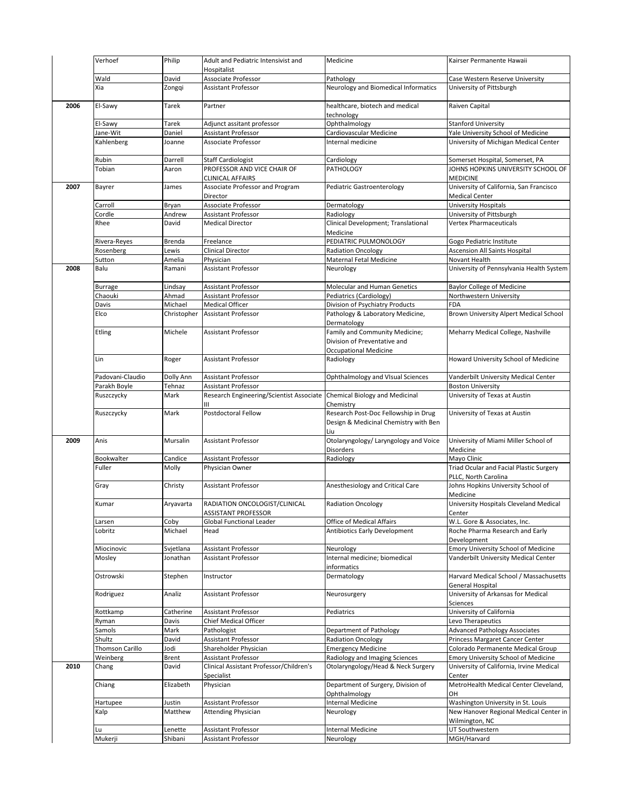|      | Verhoef                | Philip             | Adult and Pediatric Intensivist and<br>Hospitalist     | Medicine                                                  | Kairser Permanente Hawaii                                                    |
|------|------------------------|--------------------|--------------------------------------------------------|-----------------------------------------------------------|------------------------------------------------------------------------------|
|      | Wald                   | David              | Associate Professor                                    | Pathology                                                 | Case Western Reserve University                                              |
|      | Xia                    | Zongqi             | <b>Assistant Professor</b>                             | Neurology and Biomedical Informatics                      | University of Pittsburgh                                                     |
| 2006 | El-Sawy                | Tarek              | Partner                                                | healthcare, biotech and medical<br>technology             | Raiven Capital                                                               |
|      | El-Sawy                | Tarek              | Adjunct assitant professor                             | Ophthalmology                                             | <b>Stanford University</b>                                                   |
|      | Jane-Wit               | Daniel             | <b>Assistant Professor</b>                             | Cardiovascular Medicine                                   | Yale University School of Medicine                                           |
|      |                        |                    | Associate Professor                                    | Internal medicine                                         | University of Michigan Medical Center                                        |
|      | Kahlenberg             | Joanne             |                                                        |                                                           |                                                                              |
|      | Rubin                  | Darrell            | <b>Staff Cardiologist</b>                              | Cardiology                                                | Somerset Hospital, Somerset, PA                                              |
|      | Tobian                 | Aaron              | PROFESSOR AND VICE CHAIR OF<br><b>CLINICAL AFFAIRS</b> | <b>PATHOLOGY</b>                                          | JOHNS HOPKINS UNIVERSITY SCHOOL OF<br><b>MEDICINE</b>                        |
| 2007 | Bayrer                 | James              | Associate Professor and Program<br>Director            | Pediatric Gastroenterology                                | University of California, San Francisco<br><b>Medical Center</b>             |
|      | Carroll                | Bryan              | Associate Professor                                    | Dermatology                                               | <b>University Hospitals</b>                                                  |
|      | Cordle                 | Andrew             | Assistant Professor                                    | Radiology                                                 | University of Pittsburgh                                                     |
|      | Rhee                   | David              | <b>Medical Director</b>                                | Clinical Development; Translational<br>Medicine           | <b>Vertex Pharmaceuticals</b>                                                |
|      | Rivera-Reyes           | Brenda             | Freelance                                              | PEDIATRIC PULMONOLOGY                                     | Gogo Pediatric Institute                                                     |
|      | Rosenberg              | Lewis              | Clinical Director                                      | <b>Radiation Oncology</b>                                 | <b>Ascension All Saints Hospital</b>                                         |
|      | Sutton                 | Amelia             | Physician                                              | Maternal Fetal Medicine                                   | Novant Health                                                                |
| 2008 | Balu                   | Ramani             | <b>Assistant Professor</b>                             | Neurology                                                 | University of Pennsylvania Health System                                     |
|      | <b>Burrage</b>         | Lindsay            | <b>Assistant Professor</b>                             | Molecular and Human Genetics                              | <b>Baylor College of Medicine</b>                                            |
|      | Chaouki                | Ahmad              | <b>Assistant Professor</b>                             | Pediatrics (Cardiology)                                   | Northwestern University                                                      |
|      | Davis                  | Michael            | <b>Medical Officer</b>                                 | Division of Psychiatry Products                           | <b>FDA</b>                                                                   |
|      | Elco                   | Christopher        | <b>Assistant Professor</b>                             | Pathology & Laboratory Medicine,                          | Brown University Alpert Medical School                                       |
|      |                        |                    |                                                        | Dermatology                                               |                                                                              |
|      | Etling                 | Michele            | <b>Assistant Professor</b>                             | Family and Community Medicine;                            | Meharry Medical College, Nashville                                           |
|      |                        |                    |                                                        | Division of Preventative and                              |                                                                              |
|      |                        |                    |                                                        | <b>Occupational Medicine</b>                              |                                                                              |
|      | Lin                    | Roger              | <b>Assistant Professor</b>                             | Radiology                                                 | Howard University School of Medicine                                         |
|      | Padovani-Claudio       | Dolly Ann          | Assistant Professor                                    | Ophthalmology and VIsual Sciences                         | Vanderbilt University Medical Center                                         |
|      | Parakh Boyle           | Tehnaz             | Assistant Professor                                    |                                                           | <b>Boston University</b>                                                     |
|      | Ruszczycky             | Mark               | Research Engineering/Scientist Associate               | Chemical Biology and Medicinal                            | University of Texas at Austin                                                |
|      | Ruszczycky             | Mark               | Ш<br>Postdoctoral Fellow                               | Chemistry<br>Research Post-Doc Fellowship in Drug         | University of Texas at Austin                                                |
|      |                        |                    |                                                        | Design & Medicinal Chemistry with Ben<br>Liu              |                                                                              |
| 2009 | Anis                   | Mursalin           | <b>Assistant Professor</b>                             | Otolaryngology/ Laryngology and Voice<br><b>Disorders</b> | University of Miami Miller School of<br>Medicine                             |
|      | Bookwalter             | Candice            | Assistant Professor                                    | Radiology                                                 | Mayo Clinic                                                                  |
|      | Fuller                 | Molly              | Physician Owner                                        |                                                           | Triad Ocular and Facial Plastic Surgery<br>PLLC, North Carolina              |
|      | Gray                   | Christy            | <b>Assistant Professor</b>                             | Anesthesiology and Critical Care                          | Johns Hopkins University School of<br>Medicine                               |
|      | Kumar                  | Aryavarta          | RADIATION ONCOLOGIST/CLINICAL<br>ASSISTANT PROFESSOR   | <b>Radiation Oncology</b>                                 | University Hospitals Cleveland Medical<br>Center                             |
|      | Larsen                 | Coby               | <b>Global Functional Leader</b>                        | Office of Medical Affairs                                 | W.L. Gore & Associates, Inc.                                                 |
|      | Lobritz                | Michael            | Head                                                   | Antibiotics Early Development                             | Roche Pharma Research and Early                                              |
|      |                        |                    |                                                        |                                                           | Development                                                                  |
|      | Miocinovic             | Svjetlana          | Assistant Professor                                    | Neurology                                                 | Emory University School of Medicine                                          |
|      | Mosley                 | Jonathan           | <b>Assistant Professor</b>                             | Internal medicine; biomedical<br>informatics              | Vanderbilt University Medical Center                                         |
|      | Ostrowski              | Stephen            | Instructor                                             | Dermatology                                               | Harvard Medical School / Massachusetts<br>General Hospital                   |
|      | Rodriguez              | Analiz             | Assistant Professor                                    | Neurosurgery                                              | University of Arkansas for Medical<br>Sciences                               |
|      | Rottkamp               | Catherine          | Assistant Professor                                    | Pediatrics                                                | University of California                                                     |
|      | Ryman                  | Davis              | Chief Medical Officer                                  |                                                           | Levo Therapeutics                                                            |
|      | Samols                 | Mark               | Pathologist                                            | Department of Pathology                                   | <b>Advanced Pathology Associates</b>                                         |
|      | Shultz                 | David              | Assistant Professor                                    | <b>Radiation Oncology</b>                                 | Princess Margaret Cancer Center                                              |
|      | <b>Thomson Carillo</b> | Jodi               | Shareholder Physician                                  | <b>Emergency Medicine</b>                                 | Colorado Permanente Medical Group                                            |
|      | Weinberg               | Brent              | Assistant Professor                                    | Radiology and Imaging Sciences                            | Emory University School of Medicine                                          |
| 2010 | Chang                  | David              | Clinical Assistant Professor/Children's                | Otolaryngology/Head & Neck Surgery                        | University of California, Irvine Medical                                     |
|      |                        | Elizabeth          | Specialist<br>Physician                                | Department of Surgery, Division of                        | Center<br>MetroHealth Medical Center Cleveland,                              |
|      | Chiang                 |                    |                                                        |                                                           |                                                                              |
|      |                        |                    |                                                        | Ophthalmology<br><b>Internal Medicine</b>                 | OН                                                                           |
|      | Hartupee               | Justin<br>Matthew  | Assistant Professor                                    |                                                           | Washington University in St. Louis<br>New Hanover Regional Medical Center in |
|      | Kalp                   |                    | <b>Attending Physician</b>                             | Neurology                                                 |                                                                              |
|      | Lu                     |                    | Assistant Professor                                    | <b>Internal Medicine</b>                                  | Wilmington, NC<br>UT Southwestern                                            |
|      | Mukerji                | Lenette<br>Shibani | Assistant Professor                                    | Neurology                                                 | MGH/Harvard                                                                  |
|      |                        |                    |                                                        |                                                           |                                                                              |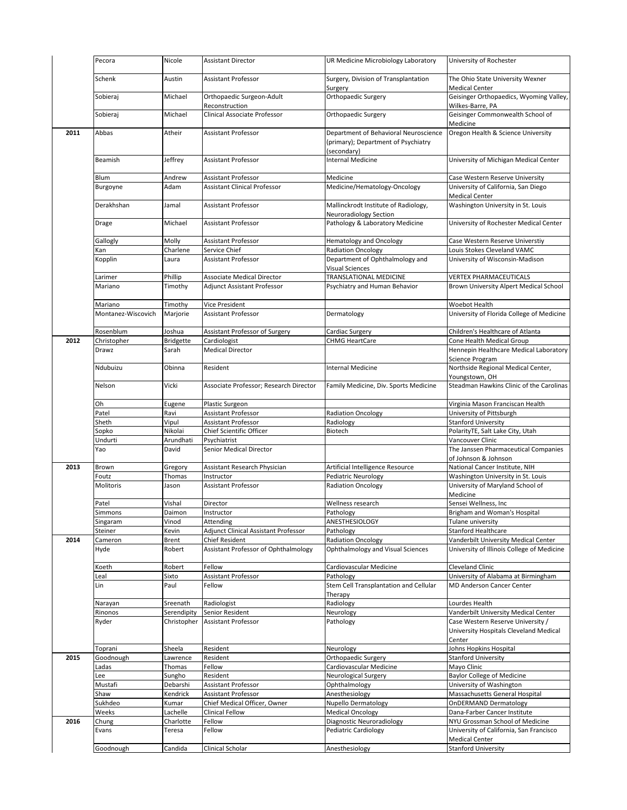|      | Pecora             | Nicole                 | <b>Assistant Director</b>                                     | UR Medicine Microbiology Laboratory                                                         | University of Rochester                                                            |
|------|--------------------|------------------------|---------------------------------------------------------------|---------------------------------------------------------------------------------------------|------------------------------------------------------------------------------------|
|      | Schenk             | Austin                 | Assistant Professor                                           | Surgery, Division of Transplantation<br>Surgery                                             | The Ohio State University Wexner<br><b>Medical Center</b>                          |
|      | Sobieraj           | Michael                | Orthopaedic Surgeon-Adult<br>Reconstruction                   | Orthopaedic Surgery                                                                         | Geisinger Orthopaedics, Wyoming Valley,<br>Wilkes-Barre, PA                        |
|      | Sobieraj           | Michael                | <b>Clinical Associate Professor</b>                           | Orthopaedic Surgery                                                                         | Geisinger Commonwealth School of<br>Medicine                                       |
| 2011 | Abbas              | Atheir                 | <b>Assistant Professor</b>                                    | Department of Behavioral Neuroscience<br>(primary); Department of Psychiatry<br>(secondary) | Oregon Health & Science University                                                 |
|      | Beamish            | Jeffrey                | Assistant Professor                                           | <b>Internal Medicine</b>                                                                    | University of Michigan Medical Center                                              |
|      | Blum               | Andrew                 | Assistant Professor                                           | Medicine                                                                                    | Case Western Reserve University                                                    |
|      | Burgoyne           | Adam                   | <b>Assistant Clinical Professor</b>                           | Medicine/Hematology-Oncology                                                                | University of California, San Diego<br><b>Medical Center</b>                       |
|      | Derakhshan         | Jamal                  | <b>Assistant Professor</b>                                    | Mallinckrodt Institute of Radiology,<br>Neuroradiology Section                              | Washington University in St. Louis                                                 |
|      | Drage              | Michael                | <b>Assistant Professor</b>                                    | Pathology & Laboratory Medicine                                                             | University of Rochester Medical Center                                             |
|      | Gallogly           | Molly                  | <b>Assistant Professor</b>                                    | <b>Hematology and Oncology</b>                                                              | Case Western Reserve Universtiy                                                    |
|      | Kan                | Charlene               | Service Chief                                                 | <b>Radiation Oncology</b>                                                                   | Louis Stokes Cleveland VAMC                                                        |
|      | Kopplin            | Laura                  | <b>Assistant Professor</b>                                    | Department of Ophthalmology and<br>Visual Sciences                                          | University of Wisconsin-Madison                                                    |
|      | Larimer            | Phillip                | <b>Associate Medical Director</b>                             | TRANSLATIONAL MEDICINE                                                                      | <b>VERTEX PHARMACEUTICALS</b>                                                      |
|      | Mariano            | Timothy                | <b>Adjunct Assistant Professor</b>                            | Psychiatry and Human Behavior                                                               | Brown University Alpert Medical School                                             |
|      |                    |                        |                                                               |                                                                                             |                                                                                    |
|      | Mariano            | Timothy                | <b>Vice President</b>                                         |                                                                                             | Woebot Health                                                                      |
|      | Montanez-Wiscovich | Marjorie               | <b>Assistant Professor</b>                                    | Dermatology                                                                                 | University of Florida College of Medicine                                          |
|      | Rosenblum          | Joshua                 | Assistant Professor of Surgery                                | Cardiac Surgery                                                                             | Children's Healthcare of Atlanta                                                   |
| 2012 | Christopher        | <b>Bridgette</b>       | Cardiologist                                                  | CHMG HeartCare                                                                              | Cone Health Medical Group                                                          |
|      | Drawz              | Sarah                  | <b>Medical Director</b>                                       |                                                                                             | Hennepin Healthcare Medical Laboratory<br>Science Program                          |
|      | Ndubuizu           | Obinna                 | Resident                                                      | <b>Internal Medicine</b>                                                                    | Northside Regional Medical Center,<br>Youngstown, OH                               |
|      | Nelson             | Vicki                  | Associate Professor; Research Director                        | Family Medicine, Div. Sports Medicine                                                       | Steadman Hawkins Clinic of the Carolinas                                           |
|      | Oh                 | Eugene                 | Plastic Surgeon                                               |                                                                                             | Virginia Mason Franciscan Health                                                   |
|      | Patel              | Ravi                   | Assistant Professor                                           | <b>Radiation Oncology</b>                                                                   | University of Pittsburgh                                                           |
|      | Sheth              | Vipul                  | Assistant Professor                                           | Radiology                                                                                   | <b>Stanford University</b>                                                         |
|      | Sopko              | Nikolai                | Chief Scientific Officer                                      | Biotech                                                                                     | PolarityTE, Salt Lake City, Utah                                                   |
|      |                    |                        |                                                               |                                                                                             |                                                                                    |
|      | Undurti<br>Yao     | Arundhati<br>David     | Psychiatrist<br>Senior Medical Director                       |                                                                                             | Vancouver Clinic<br>The Janssen Pharmaceutical Companies                           |
|      |                    |                        |                                                               |                                                                                             | of Johnson & Johnson                                                               |
| 2013 | Brown              | Gregory                | Assistant Research Physician                                  | Artificial Intelligence Resource                                                            | National Cancer Institute, NIH                                                     |
|      | Foutz              | Thomas                 | Instructor                                                    | Pediatric Neurology                                                                         | Washington University in St. Louis                                                 |
|      | Molitoris          | Jason                  | <b>Assistant Professor</b>                                    | <b>Radiation Oncology</b>                                                                   | University of Maryland School of<br>Medicine                                       |
|      | Patel              | Vishal                 | Director                                                      | Wellness research                                                                           | Sensei Wellness, Inc                                                               |
|      | Simmons            | Daimon                 |                                                               |                                                                                             |                                                                                    |
|      |                    |                        |                                                               |                                                                                             |                                                                                    |
|      |                    |                        | Instructor                                                    | Pathology                                                                                   | Brigham and Woman's Hospital                                                       |
|      | Singaram           | Vinod                  | Attending                                                     | ANESTHESIOLOGY                                                                              | Tulane university                                                                  |
|      | Steiner            | Kevin                  | Adjunct Clinical Assistant Professor                          | Pathology                                                                                   | <b>Stanford Healthcare</b>                                                         |
| 2014 | Cameron<br>Hyde    | <b>Brent</b><br>Robert | Chief Resident<br><b>Assistant Professor of Ophthalmology</b> | <b>Radiation Oncology</b><br>Ophthalmology and Visual Sciences                              | Vanderbilt University Medical Center<br>University of Illinois College of Medicine |
|      |                    |                        |                                                               |                                                                                             |                                                                                    |
|      | Koeth              | Robert                 | Fellow                                                        | Cardiovascular Medicine                                                                     | <b>Cleveland Clinic</b>                                                            |
|      | Leal<br>Lin        | Sixto<br>Paul          | Assistant Professor<br>Fellow                                 | Pathology<br>Stem Cell Transplantation and Cellular                                         | University of Alabama at Birmingham<br>MD Anderson Cancer Center                   |
|      |                    |                        |                                                               | Therapy                                                                                     |                                                                                    |
|      | Narayan            | Sreenath               | Radiologist                                                   | Radiology                                                                                   | Lourdes Health                                                                     |
|      | Rinonos            | Serendipity            | Senior Resident                                               | Neurology                                                                                   | Vanderbilt University Medical Center                                               |
|      | Ryder              | Christopher            | <b>Assistant Professor</b>                                    | Pathology                                                                                   | Case Western Reserve University /<br>University Hospitals Cleveland Medical        |
|      |                    |                        |                                                               |                                                                                             | Center                                                                             |
|      | Toprani            | Sheela                 | Resident                                                      | Neurology                                                                                   | Johns Hopkins Hospital                                                             |
| 2015 | Goodnough          | Lawrence               | Resident                                                      | Orthopaedic Surgery                                                                         | <b>Stanford University</b>                                                         |
|      | Ladas              | Thomas                 | Fellow                                                        | Cardiovascular Medicine                                                                     | Mayo Clinic                                                                        |
|      | Lee                | Sungho                 | Resident                                                      | Neurological Surgery                                                                        | <b>Baylor College of Medicine</b>                                                  |
|      | Mustafi            | Debarshi               | Assistant Professor                                           | Ophthalmology                                                                               | University of Washington                                                           |
|      | Shaw               | Kendrick               | Assistant Professor                                           | Anesthesiology                                                                              | Massachusetts General Hospital                                                     |
|      | Sukhdeo            | Kumar                  | Chief Medical Officer, Owner                                  | Nupello Dermatology                                                                         | <b>OnDERMAND Dermatology</b>                                                       |
|      | Weeks              | Lachelle               | Clinical Fellow                                               | <b>Medical Oncology</b>                                                                     | Dana-Farber Cancer Institute                                                       |
| 2016 |                    | Charlotte              | Fellow                                                        | Diagnostic Neuroradiology                                                                   | NYU Grossman School of Medicine                                                    |
|      | Chung<br>Evans     | Teresa                 | Fellow                                                        | Pediatric Cardiology                                                                        | University of California, San Francisco                                            |
|      | Goodnough          | Candida                | Clinical Scholar                                              | Anesthesiology                                                                              | <b>Medical Center</b><br><b>Stanford University</b>                                |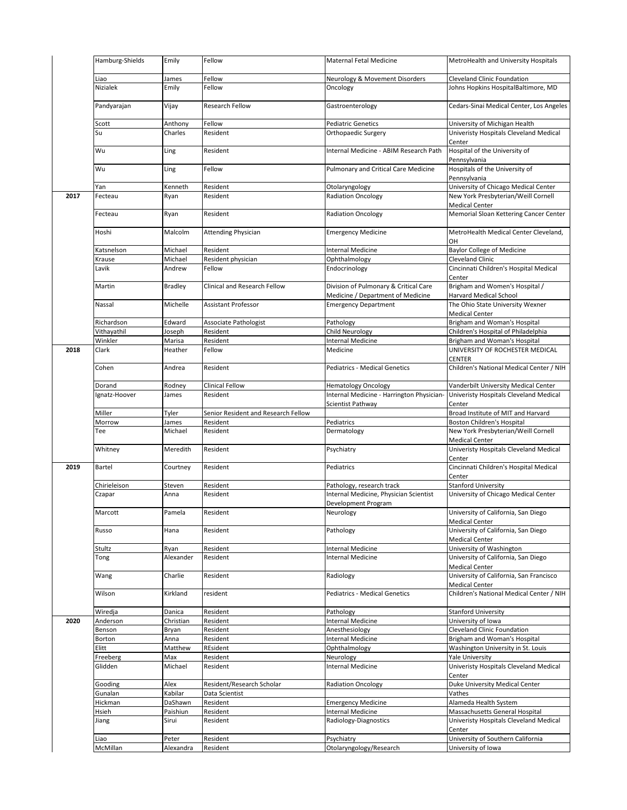|      | Hamburg-Shields  | Emily              | Fellow                              | <b>Maternal Fetal Medicine</b>                                             | MetroHealth and University Hospitals                         |
|------|------------------|--------------------|-------------------------------------|----------------------------------------------------------------------------|--------------------------------------------------------------|
|      | Liao             | James              | Fellow                              | Neurology & Movement Disorders                                             | Cleveland Clinic Foundation                                  |
|      | Nizialek         | Emily              | Fellow                              | Oncology                                                                   | Johns Hopkins HospitalBaltimore, MD                          |
|      | Pandyarajan      | Vijay              | Research Fellow                     | Gastroenterology                                                           | Cedars-Sinai Medical Center, Los Angeles                     |
|      | Scott            | Anthony            | Fellow                              | <b>Pediatric Genetics</b>                                                  | University of Michigan Health                                |
|      | Su               | Charles            | Resident                            | Orthopaedic Surgery                                                        | Univeristy Hospitals Cleveland Medical<br>Center             |
|      | Wu               | Ling               | Resident                            | Internal Medicine - ABIM Research Path                                     | Hospital of the University of<br>Pennsylvania                |
|      | Wu               | Ling               | Fellow                              | Pulmonary and Critical Care Medicine                                       | Hospitals of the University of                               |
|      |                  |                    |                                     |                                                                            | Pennsylvania                                                 |
|      | Yan              | Kenneth            | Resident                            | Otolaryngology                                                             | University of Chicago Medical Center                         |
| 2017 | Fecteau          | Ryan               | Resident                            | <b>Radiation Oncology</b>                                                  | New York Presbyterian/Weill Cornell<br><b>Medical Center</b> |
|      | Fecteau          | Ryan               | Resident                            | <b>Radiation Oncology</b>                                                  | Memorial Sloan Kettering Cancer Center                       |
|      | Hoshi            | Malcolm            | <b>Attending Physician</b>          | <b>Emergency Medicine</b>                                                  | MetroHealth Medical Center Cleveland,<br>OH                  |
|      | Katsnelson       | Michael            | Resident                            | Internal Medicine                                                          | <b>Baylor College of Medicine</b>                            |
|      | Krause           | Michael            | Resident physician                  | Ophthalmology                                                              | <b>Cleveland Clinic</b>                                      |
|      | Lavik            | Andrew             | Fellow                              | Endocrinology                                                              | Cincinnati Children's Hospital Medical<br>Center             |
|      | Martin           | <b>Bradley</b>     | Clinical and Research Fellow        | Division of Pulmonary & Critical Care<br>Medicine / Department of Medicine | Brigham and Women's Hospital /<br>Harvard Medical School     |
|      | Nassal           | Michelle           | <b>Assistant Professor</b>          | <b>Emergency Department</b>                                                | The Ohio State University Wexner<br><b>Medical Center</b>    |
|      | Richardson       | Edward             | Associate Pathologist               | Pathology                                                                  | Brigham and Woman's Hospital                                 |
|      |                  |                    |                                     | <b>Child Neurology</b>                                                     |                                                              |
|      | Vithayathil      | Joseph             | Resident                            |                                                                            | Children's Hospital of Philadelphia                          |
|      | Winkler          | Marisa             | Resident                            | Internal Medicine                                                          | Brigham and Woman's Hospital                                 |
| 2018 | Clark            | Heather            | Fellow                              | Medicine                                                                   | UNIVERSITY OF ROCHESTER MEDICAL<br><b>CENTER</b>             |
|      | Cohen            | Andrea             | Resident                            | <b>Pediatrics - Medical Genetics</b>                                       | Children's National Medical Center / NIH                     |
|      | Dorand           | Rodney             | Clinical Fellow                     | <b>Hematology Oncology</b>                                                 | Vanderbilt University Medical Center                         |
|      | Ignatz-Hoover    | James              | Resident                            | Internal Medicine - Harrington Physician-                                  | Univeristy Hospitals Cleveland Medical                       |
|      |                  |                    |                                     | Scientist Pathway                                                          | Center                                                       |
|      | Miller           | Tyler              | Senior Resident and Research Fellow |                                                                            | Broad Institute of MIT and Harvard                           |
|      | Morrow           | James              | Resident                            | Pediatrics                                                                 | Boston Children's Hospital                                   |
|      | Tee              | Michael            | Resident                            | Dermatology                                                                | New York Presbyterian/Weill Cornell                          |
|      | Whitney          | Meredith           | Resident                            | Psychiatry                                                                 | Medical Center<br>Univeristy Hospitals Cleveland Medical     |
| 2019 | Bartel           | Courtney           | Resident                            |                                                                            | Center<br>Cincinnati Children's Hospital Medical             |
|      |                  |                    |                                     | Pediatrics                                                                 | Center                                                       |
|      | Chirieleison     | Steven             | Resident                            | Pathology, research track                                                  | <b>Stanford University</b>                                   |
|      | Czapar           | Anna               | Resident                            | Internal Medicine, Physician Scientist<br>Development Program              | University of Chicago Medical Center                         |
|      | Marcott          | Pamela             | Resident                            | Neurology                                                                  | University of California, San Diego<br><b>Medical Center</b> |
|      | Russo            | Hana               | Resident                            | Pathology                                                                  | University of California, San Diego<br><b>Medical Center</b> |
|      |                  |                    |                                     |                                                                            |                                                              |
|      | Stultz           | Ryan               | Resident                            | Internal Medicine                                                          | University of Washington                                     |
|      | Tong             | Alexander          | Resident                            | Internal Medicine                                                          | University of California, San Diego                          |
|      | Wang             | Charlie            | Resident                            | Radiology                                                                  | Medical Center<br>University of California, San Francisco    |
|      | Wilson           | Kirkland           | resident                            | Pediatrics - Medical Genetics                                              | Medical Center<br>Children's National Medical Center / NIH   |
|      |                  | Danica             |                                     |                                                                            | <b>Stanford University</b>                                   |
|      | Wiredja          |                    | Resident                            | Pathology                                                                  |                                                              |
| 2020 | Anderson         | Christian          | Resident                            | Internal Medicine                                                          | University of Iowa                                           |
|      | Benson           | Bryan              | Resident                            | Anesthesiology                                                             | Cleveland Clinic Foundation                                  |
|      | Borton           | Anna               | Resident                            | Internal Medicine                                                          | Brigham and Woman's Hospital                                 |
|      | Elitt            | Matthew            | REsident                            | Ophthalmology                                                              | Washington University in St. Louis                           |
|      | Freeberg         | Max                | Resident                            | Neurology                                                                  | <b>Yale University</b>                                       |
|      | Glidden          | Michael            | Resident                            | Internal Medicine                                                          | Univeristy Hospitals Cleveland Medical<br>Center             |
|      | Gooding          | Alex               | Resident/Research Scholar           | <b>Radiation Oncology</b>                                                  | Duke University Medical Center                               |
|      | Gunalan          | Kabilar            | Data Scientist                      |                                                                            | Vathes                                                       |
|      | Hickman          | DaShawn            | Resident                            | <b>Emergency Medicine</b>                                                  | Alameda Health System                                        |
|      | Hsieh            | Paishiun           | Resident                            | Internal Medicine                                                          | Massachusetts General Hospital                               |
|      | Jiang            | Sirui              | Resident                            | Radiology-Diagnostics                                                      | Univeristy Hospitals Cleveland Medical<br>Center             |
|      |                  |                    |                                     |                                                                            |                                                              |
|      | Liao<br>McMillan | Peter<br>Alexandra | Resident<br>Resident                | Psychiatry<br>Otolaryngology/Research                                      | University of Southern California<br>University of Iowa      |